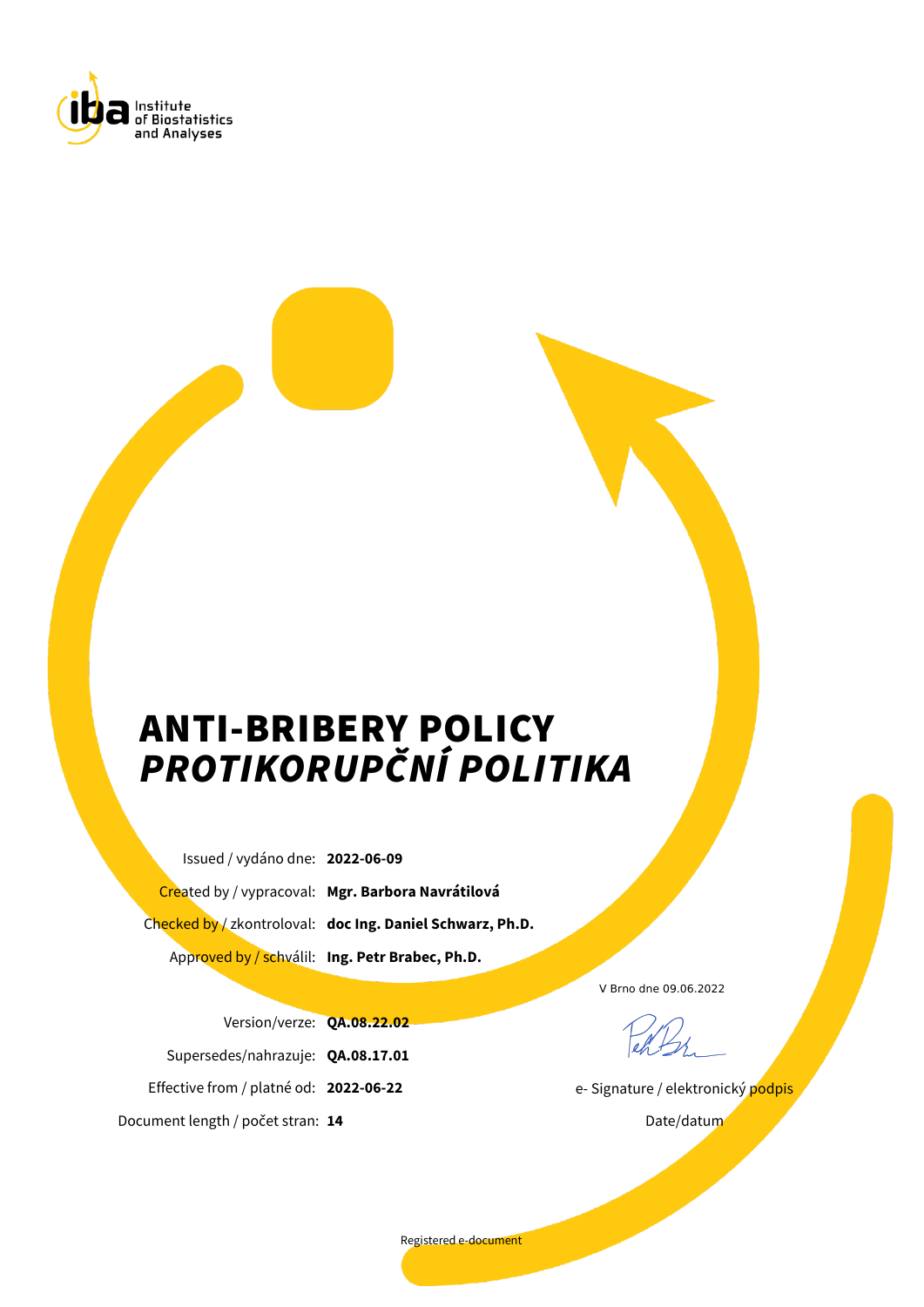<span id="page-0-0"></span>

# ANTI-BRIBERY POLICY *PROTIKORUPČNÍ POLITIKA*

Issued / vydáno dne: **2022-06-09** Created by / vypracoval: **Mgr. Barbora Navrátilová** Checked by / zkontroloval: **doc Ing. Daniel Schwarz, Ph.D.** Approved by / schválil: **Ing. Petr Brabec, Ph.D.**

Version/verze: **QA.08.22.02**

Supersedes/nahrazuje: **QA.08.17.01**

Effective from / platné od: **2022-06-22**

Document length / počet stran: **14**

V Brno dne 09.06.2022

e- Signature / elektronický podpis

Date/datum

Registered e-document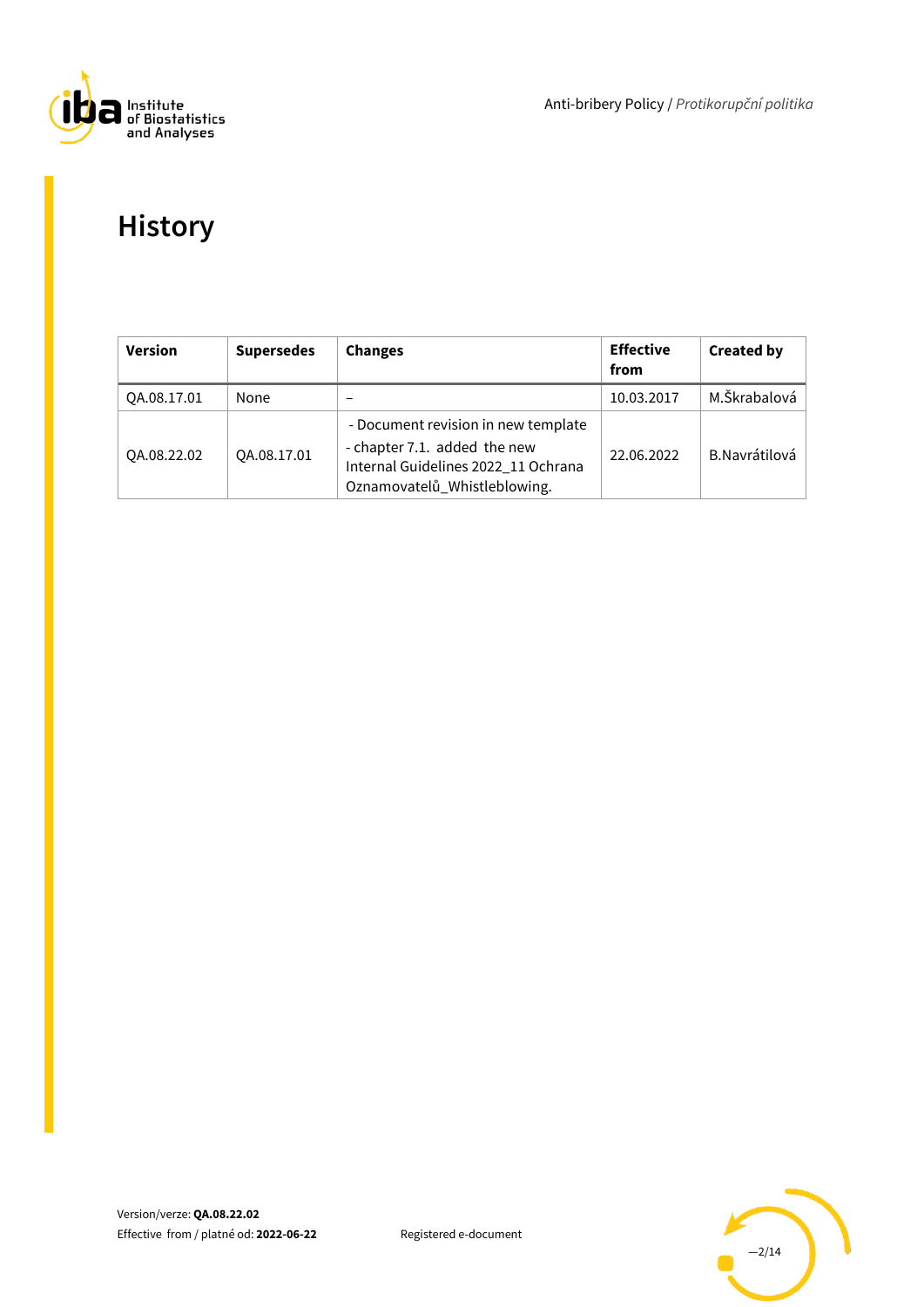

Anti-bribery Policy / *Protikorupční politika*

# **History**

| <b>Version</b> | <b>Supersedes</b> | <b>Changes</b>                                                                                                                             | <b>Effective</b><br>from | <b>Created by</b> |
|----------------|-------------------|--------------------------------------------------------------------------------------------------------------------------------------------|--------------------------|-------------------|
| OA.08.17.01    | None              |                                                                                                                                            | 10.03.2017               | M.Škrabalová      |
| QA.08.22.02    | QA.08.17.01       | - Document revision in new template<br>- chapter 7.1. added the new<br>Internal Guidelines 2022_11 Ochrana<br>Oznamovatelů_Whistleblowing. | 22.06.2022               | B.Navrátilová     |

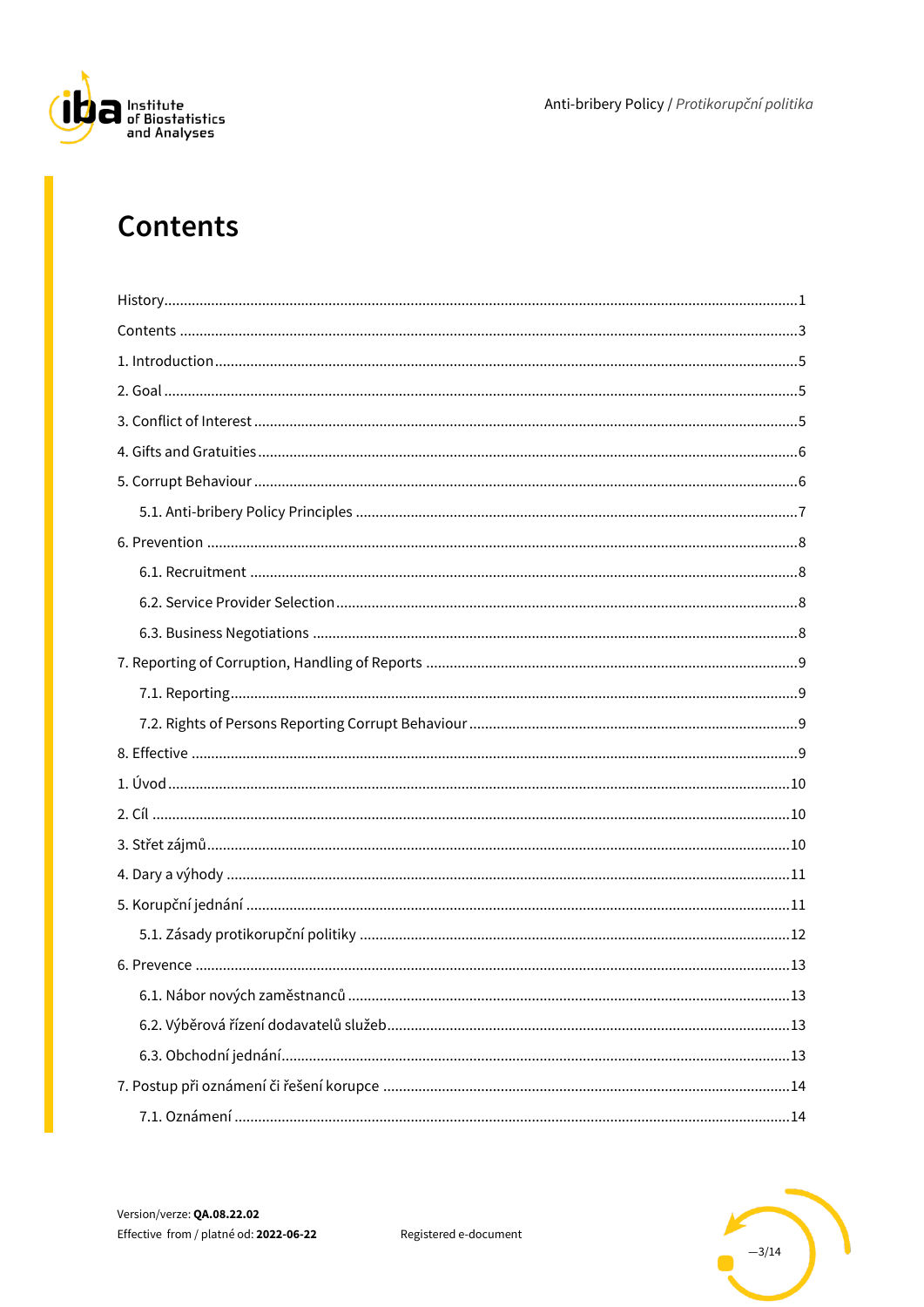

Anti-bribery Policy / Protikorupční politika

# <span id="page-2-0"></span>**Contents**



Registered e-document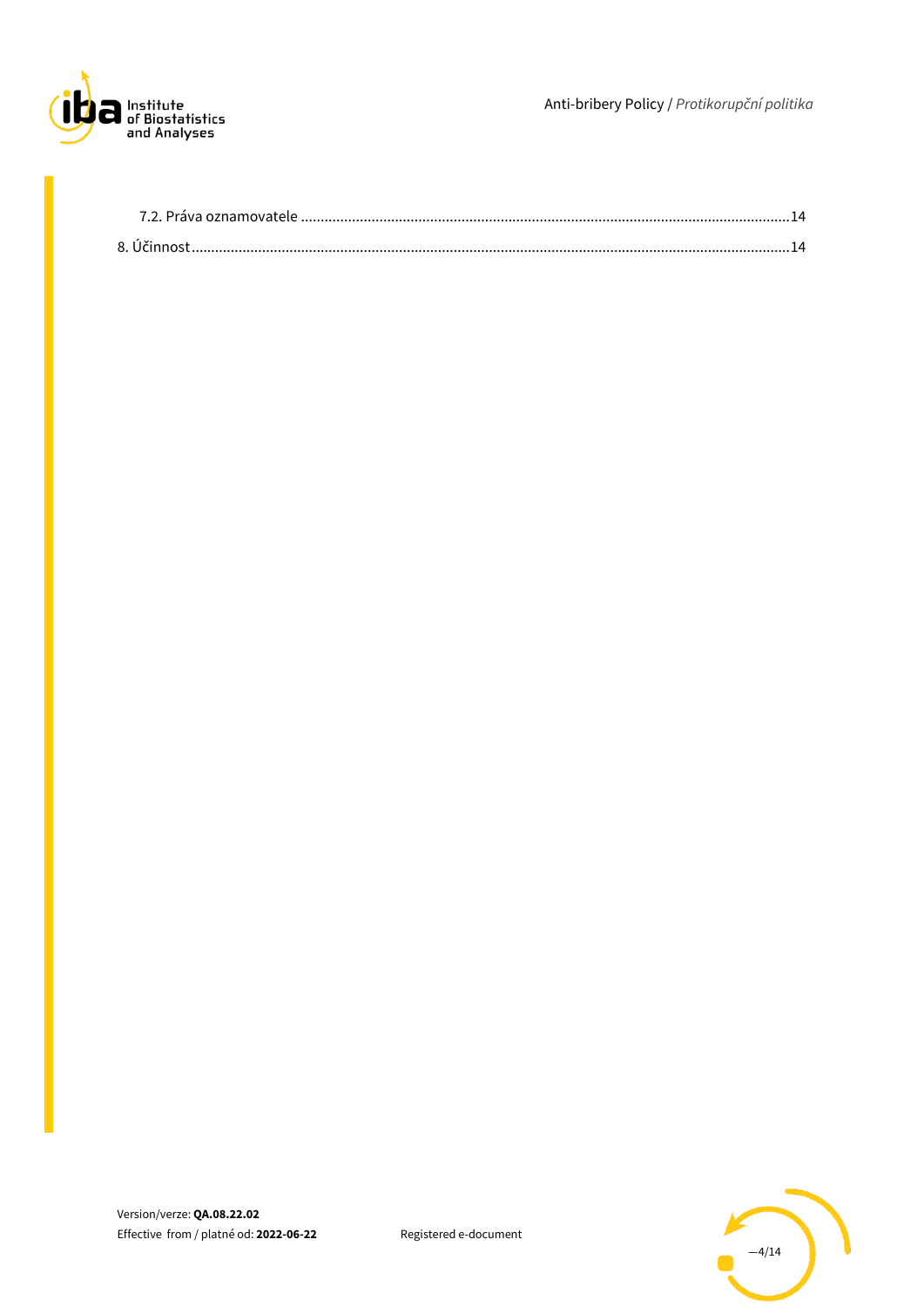

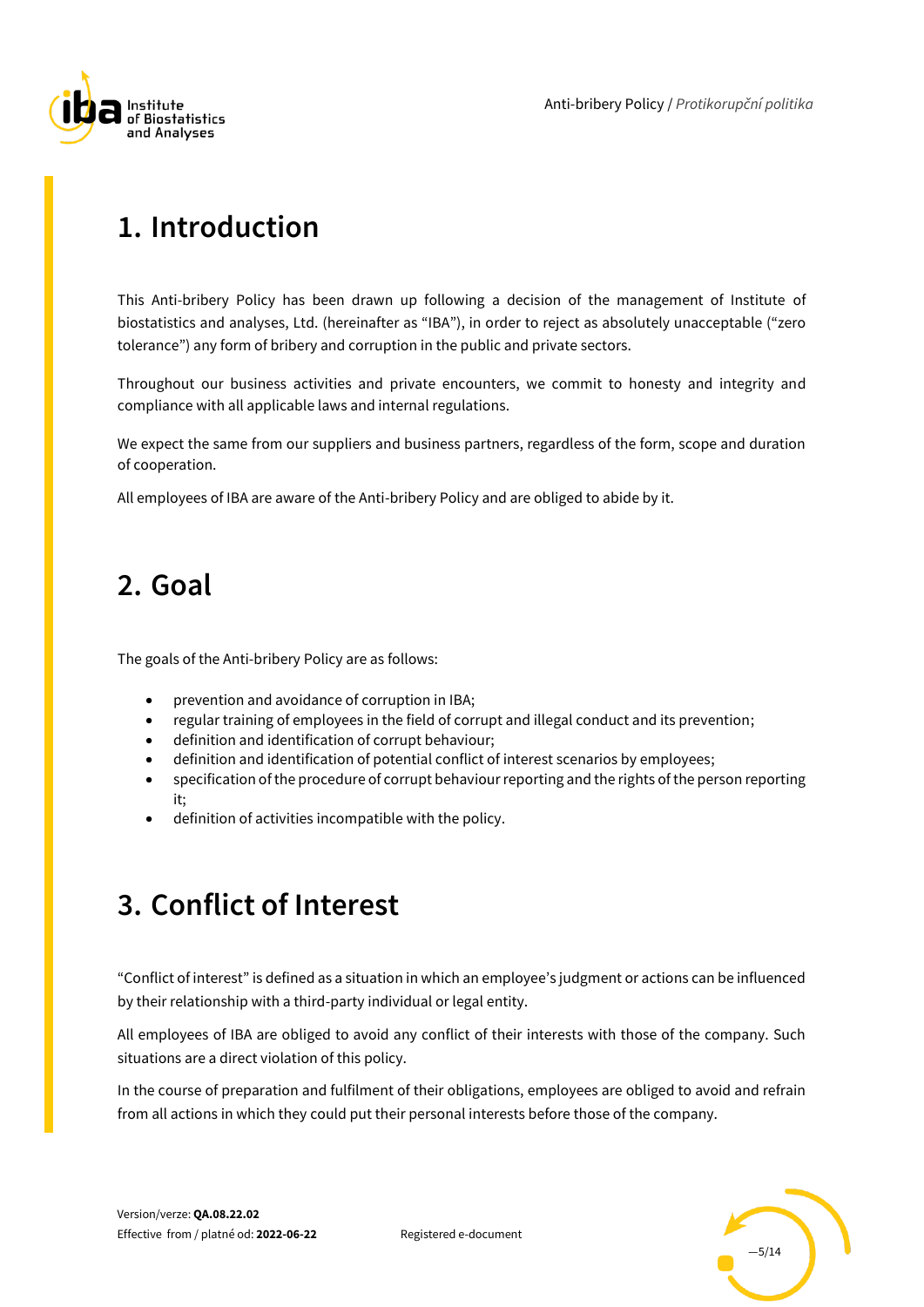

# <span id="page-4-0"></span>**1. Introduction**

This Anti-bribery Policy has been drawn up following a decision of the management of Institute of biostatistics and analyses, Ltd. (hereinafter as "IBA"), in order to reject as absolutely unacceptable ("zero tolerance") any form of bribery and corruption in the public and private sectors.

Throughout our business activities and private encounters, we commit to honesty and integrity and compliance with all applicable laws and internal regulations.

We expect the same from our suppliers and business partners, regardless of the form, scope and duration of cooperation.

<span id="page-4-1"></span>All employees of IBA are aware of the Anti-bribery Policy and are obliged to abide by it.

### **2. Goal**

The goals of the Anti-bribery Policy are as follows:

- prevention and avoidance of corruption in IBA;
- regular training of employees in the field of corrupt and illegal conduct and its prevention;
- definition and identification of corrupt behaviour;
- definition and identification of potential conflict of interest scenarios by employees;
- specification of the procedure of corrupt behaviour reporting and the rights of the person reporting it;
- definition of activities incompatible with the policy.

### <span id="page-4-2"></span>**3. Conflict of Interest**

"Conflict of interest" is defined as a situation in which an employee's judgment or actions can be influenced by their relationship with a third-party individual or legal entity.

All employees of IBA are obliged to avoid any conflict of their interests with those of the company. Such situations are a direct violation of this policy.

In the course of preparation and fulfilment of their obligations, employees are obliged to avoid and refrain from all actions in which they could put their personal interests before those of the company.

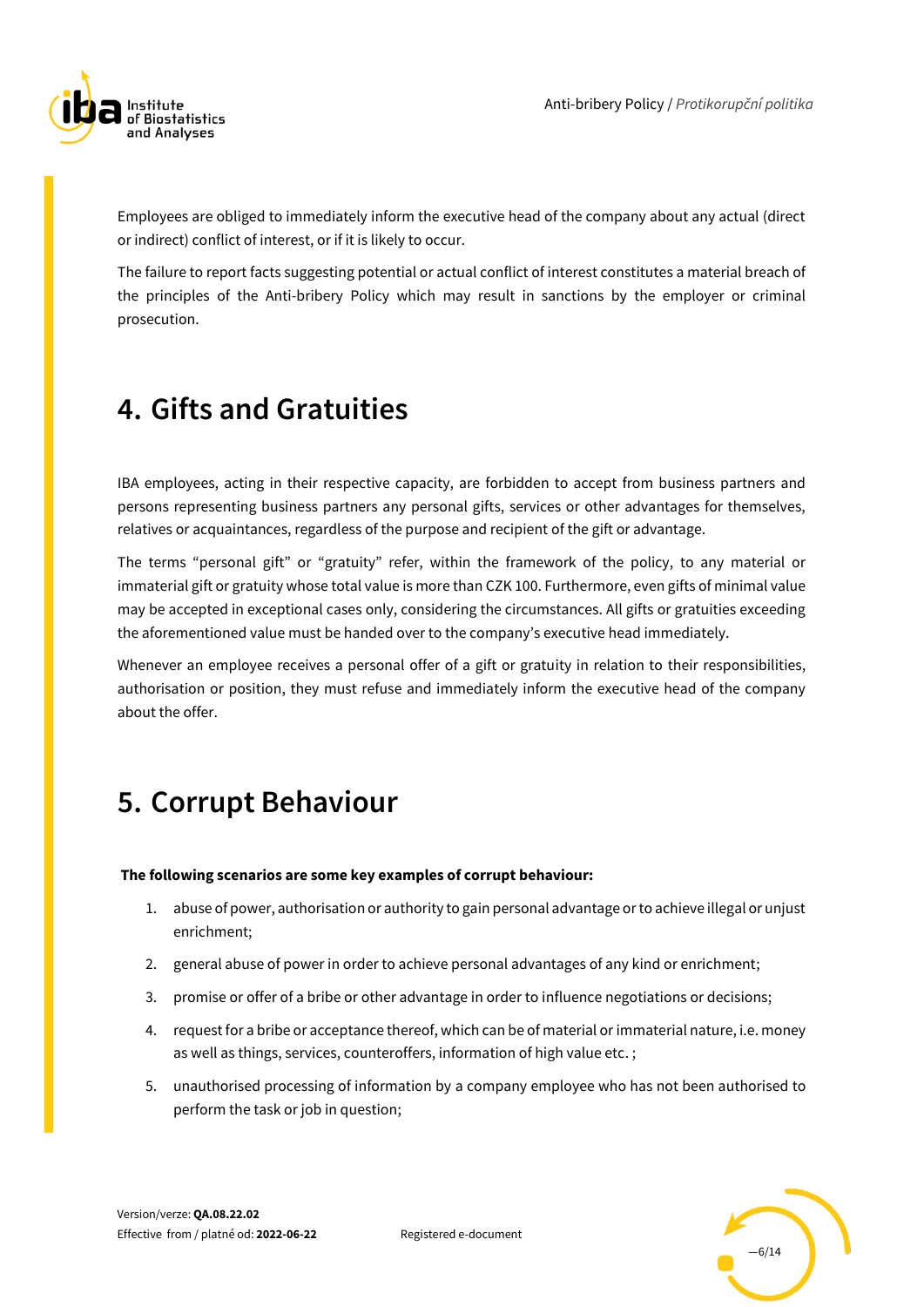

Employees are obliged to immediately inform the executive head of the company about any actual (direct or indirect) conflict of interest, or if it is likely to occur.

The failure to report facts suggesting potential or actual conflict of interest constitutes a material breach of the principles of the Anti-bribery Policy which may result in sanctions by the employer or criminal prosecution.

# <span id="page-5-0"></span>**4. Gifts and Gratuities**

IBA employees, acting in their respective capacity, are forbidden to accept from business partners and persons representing business partners any personal gifts, services or other advantages for themselves, relatives or acquaintances, regardless of the purpose and recipient of the gift or advantage.

The terms "personal gift" or "gratuity" refer, within the framework of the policy, to any material or immaterial gift or gratuity whose total value is more than CZK 100. Furthermore, even gifts of minimal value may be accepted in exceptional cases only, considering the circumstances. All gifts or gratuities exceeding the aforementioned value must be handed over to the company's executive head immediately.

Whenever an employee receives a personal offer of a gift or gratuity in relation to their responsibilities, authorisation or position, they must refuse and immediately inform the executive head of the company about the offer.

## <span id="page-5-1"></span>**5. Corrupt Behaviour**

#### **The following scenarios are some key examples of corrupt behaviour:**

- 1. abuse of power, authorisation or authority to gain personal advantage or to achieve illegal or unjust enrichment;
- 2. general abuse of power in order to achieve personal advantages of any kind or enrichment;
- 3. promise or offer of a bribe or other advantage in order to influence negotiations or decisions;
- 4. request for a bribe or acceptance thereof, which can be of material or immaterial nature, i.e. money as well as things, services, counteroffers, information of high value etc. ;
- 5. unauthorised processing of information by a company employee who has not been authorised to perform the task or job in question;

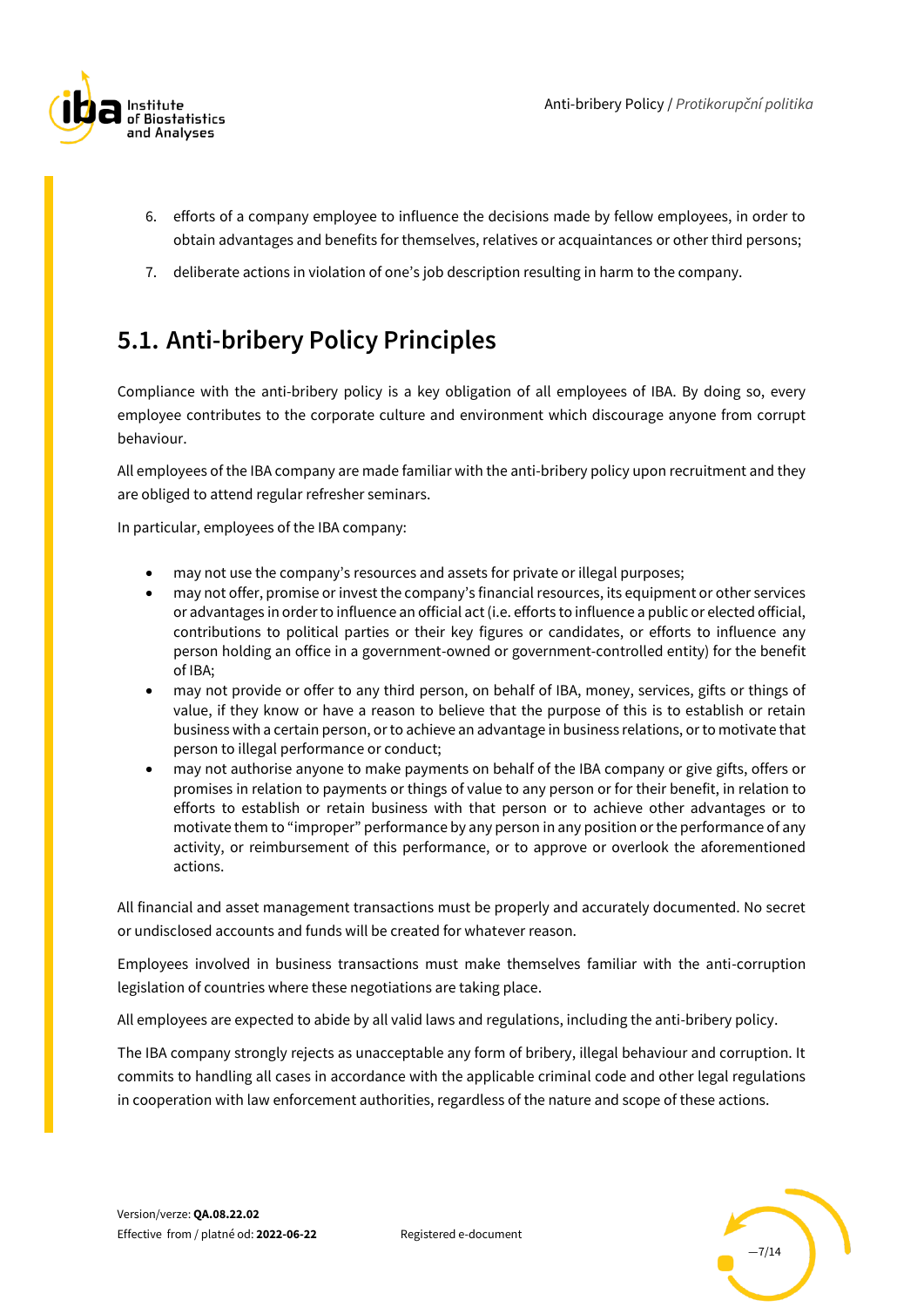

- 6. efforts of a company employee to influence the decisions made by fellow employees, in order to obtain advantages and benefits for themselves, relatives or acquaintances or other third persons;
- 7. deliberate actions in violation of one's job description resulting in harm to the company.

### <span id="page-6-0"></span>**5.1. Anti-bribery Policy Principles**

Compliance with the anti-bribery policy is a key obligation of all employees of IBA. By doing so, every employee contributes to the corporate culture and environment which discourage anyone from corrupt behaviour.

All employees of the IBA company are made familiar with the anti-bribery policy upon recruitment and they are obliged to attend regular refresher seminars.

In particular, employees of the IBA company:

- may not use the company's resources and assets for private or illegal purposes;
- may not offer, promise or invest the company's financial resources, its equipment or other services or advantages in order to influence an official act (i.e. efforts to influence a public or elected official, contributions to political parties or their key figures or candidates, or efforts to influence any person holding an office in a government-owned or government-controlled entity) for the benefit of IBA;
- may not provide or offer to any third person, on behalf of IBA, money, services, gifts or things of value, if they know or have a reason to believe that the purpose of this is to establish or retain business with a certain person, or to achieve an advantage in business relations, or to motivate that person to illegal performance or conduct;
- may not authorise anyone to make payments on behalf of the IBA company or give gifts, offers or promises in relation to payments or things of value to any person or for their benefit, in relation to efforts to establish or retain business with that person or to achieve other advantages or to motivate them to "improper" performance by any person in any position or the performance of any activity, or reimbursement of this performance, or to approve or overlook the aforementioned actions.

All financial and asset management transactions must be properly and accurately documented. No secret or undisclosed accounts and funds will be created for whatever reason.

Employees involved in business transactions must make themselves familiar with the anti-corruption legislation of countries where these negotiations are taking place.

All employees are expected to abide by all valid laws and regulations, including the anti-bribery policy.

The IBA company strongly rejects as unacceptable any form of bribery, illegal behaviour and corruption. It commits to handling all cases in accordance with the applicable criminal code and other legal regulations in cooperation with law enforcement authorities, regardless of the nature and scope of these actions.



Registered e-document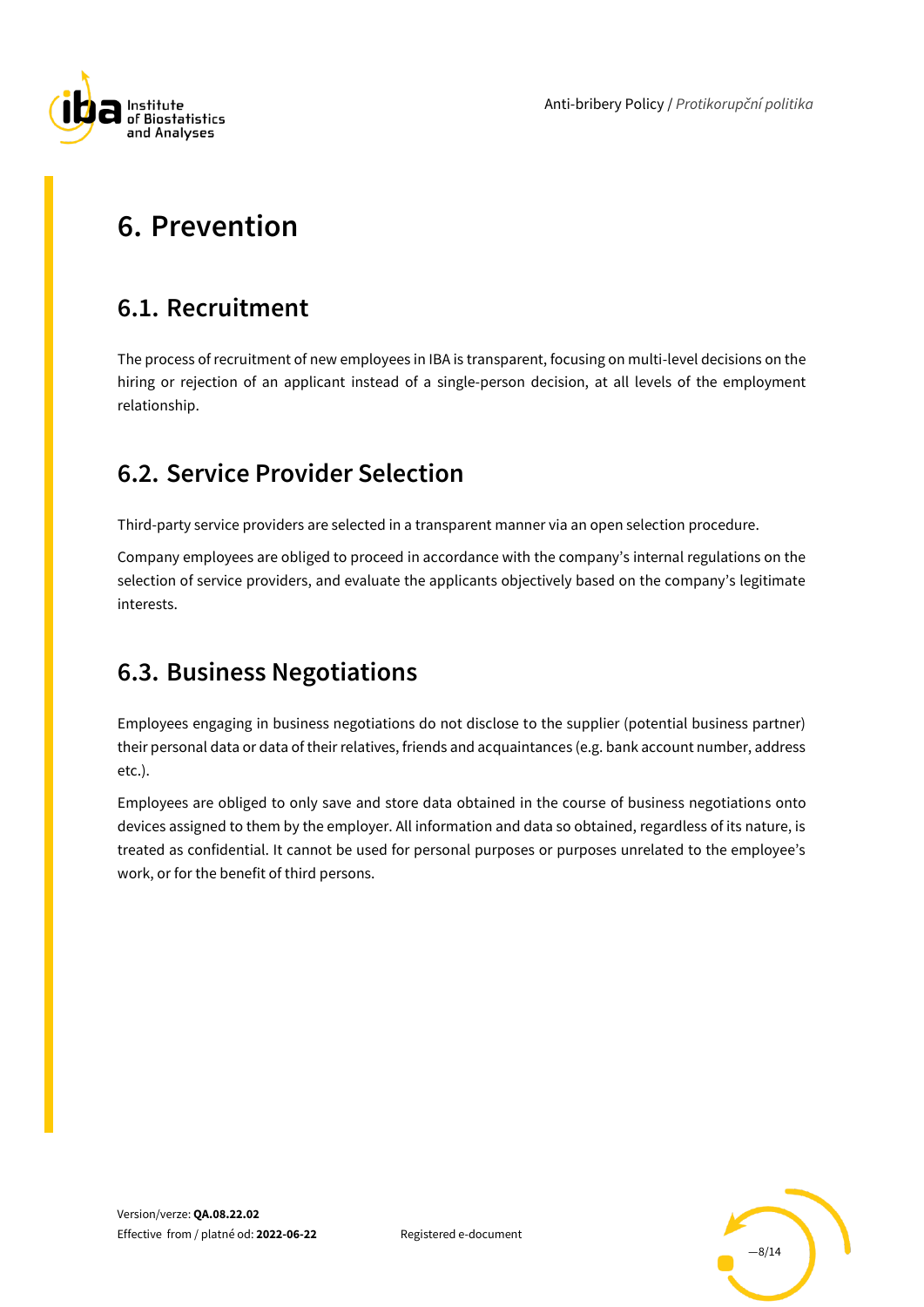

Anti-bribery Policy / *Protikorupční politika*

# <span id="page-7-0"></span>**6. Prevention**

### <span id="page-7-1"></span>**6.1. Recruitment**

The process of recruitment of new employees in IBA is transparent, focusing on multi-level decisions on the hiring or rejection of an applicant instead of a single-person decision, at all levels of the employment relationship.

#### <span id="page-7-2"></span>**6.2. Service Provider Selection**

Third-party service providers are selected in a transparent manner via an open selection procedure.

Company employees are obliged to proceed in accordance with the company's internal regulations on the selection of service providers, and evaluate the applicants objectively based on the company's legitimate interests.

#### <span id="page-7-3"></span>**6.3. Business Negotiations**

Employees engaging in business negotiations do not disclose to the supplier (potential business partner) their personal data or data of their relatives, friends and acquaintances (e.g. bank account number, address etc.).

Employees are obliged to only save and store data obtained in the course of business negotiations onto devices assigned to them by the employer. All information and data so obtained, regardless of its nature, is treated as confidential. It cannot be used for personal purposes or purposes unrelated to the employee's work, or for the benefit of third persons.

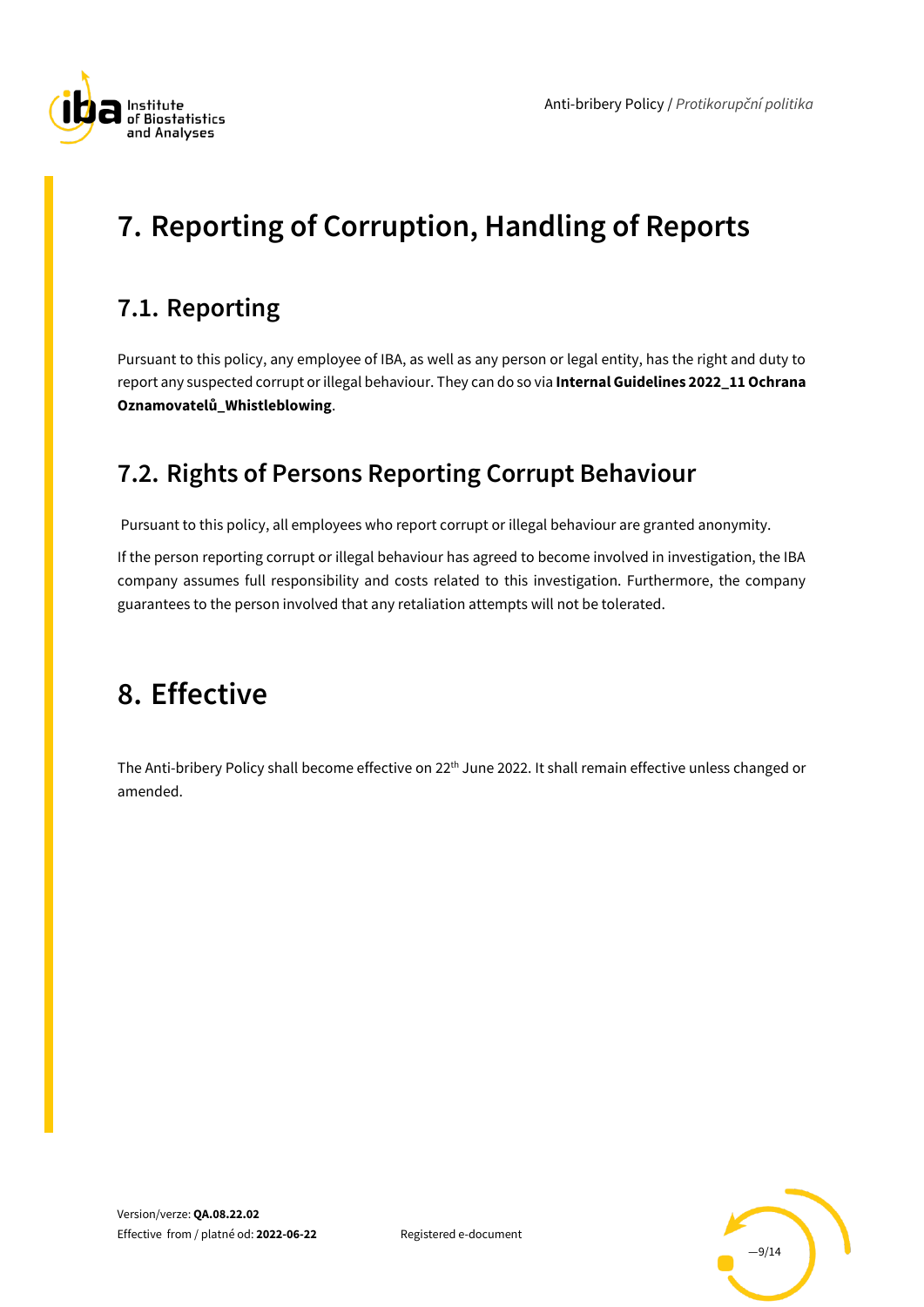

# <span id="page-8-0"></span>**7. Reporting of Corruption, Handling of Reports**

### <span id="page-8-1"></span>**7.1. Reporting**

Pursuant to this policy, any employee of IBA, as well as any person or legal entity, has the right and duty to report any suspected corrupt or illegal behaviour. They can do so via **Internal Guidelines 2022\_11 Ochrana Oznamovatelů\_Whistleblowing**.

### <span id="page-8-2"></span>**7.2. Rights of Persons Reporting Corrupt Behaviour**

Pursuant to this policy, all employees who report corrupt or illegal behaviour are granted anonymity.

If the person reporting corrupt or illegal behaviour has agreed to become involved in investigation, the IBA company assumes full responsibility and costs related to this investigation. Furthermore, the company guarantees to the person involved that any retaliation attempts will not be tolerated.

### <span id="page-8-3"></span>**8. Effective**

The Anti-bribery Policy shall become effective on 22<sup>th</sup> June 2022. It shall remain effective unless changed or amended.

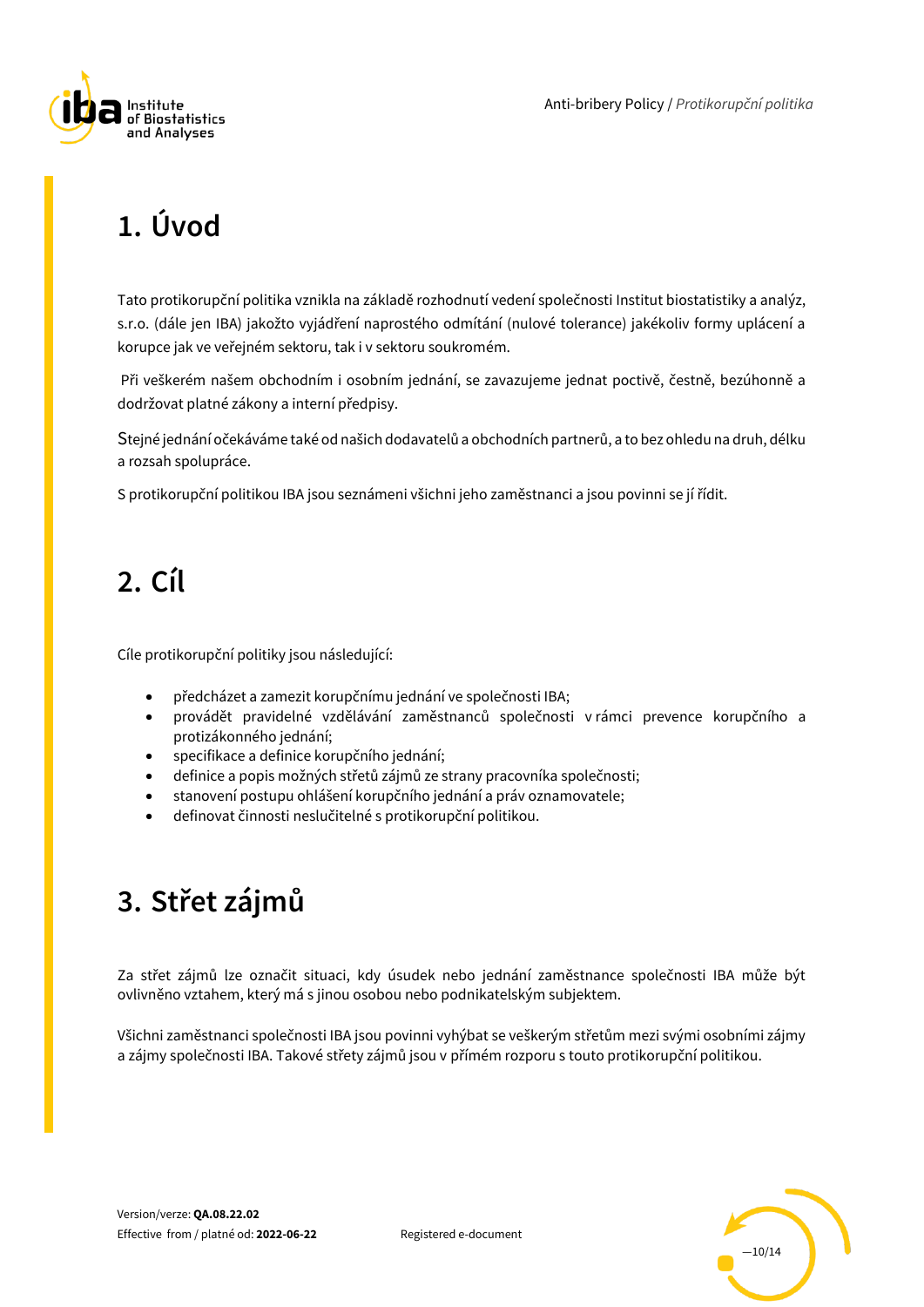



# <span id="page-9-0"></span>**1. Úvod**

Tato protikorupční politika vznikla na základě rozhodnutí vedení společnosti Institut biostatistiky a analýz, s.r.o. (dále jen IBA) jakožto vyjádření naprostého odmítání (nulové tolerance) jakékoliv formy uplácení a korupce jak ve veřejném sektoru, tak i v sektoru soukromém.

Při veškerém našem obchodním i osobním jednání, se zavazujeme jednat poctivě, čestně, bezúhonně a dodržovat platné zákony a interní předpisy.

Stejné jednání očekáváme také od našich dodavatelů a obchodních partnerů, a to bez ohledu na druh, délku a rozsah spolupráce.

<span id="page-9-1"></span>S protikorupční politikou IBA jsou seznámeni všichni jeho zaměstnanci a jsou povinni se jí řídit.

# **2. Cíl**

Cíle protikorupční politiky jsou následující:

- předcházet a zamezit korupčnímu jednání ve společnosti IBA;
- provádět pravidelné vzdělávání zaměstnanců společnosti v rámci prevence korupčního a protizákonného jednání;
- specifikace a definice korupčního jednání;
- definice a popis možných střetů zájmů ze strany pracovníka společnosti;
- stanovení postupu ohlášení korupčního jednání a práv oznamovatele;
- definovat činnosti neslučitelné s protikorupční politikou.

# <span id="page-9-2"></span>**3. Střet zájmů**

Za střet zájmů lze označit situaci, kdy úsudek nebo jednání zaměstnance společnosti IBA může být ovlivněno vztahem, který má s jinou osobou nebo podnikatelským subjektem.

Všichni zaměstnanci společnosti IBA jsou povinni vyhýbat se veškerým střetům mezi svými osobními zájmy a zájmy společnosti IBA. Takové střety zájmů jsou v přímém rozporu s touto protikorupční politikou.

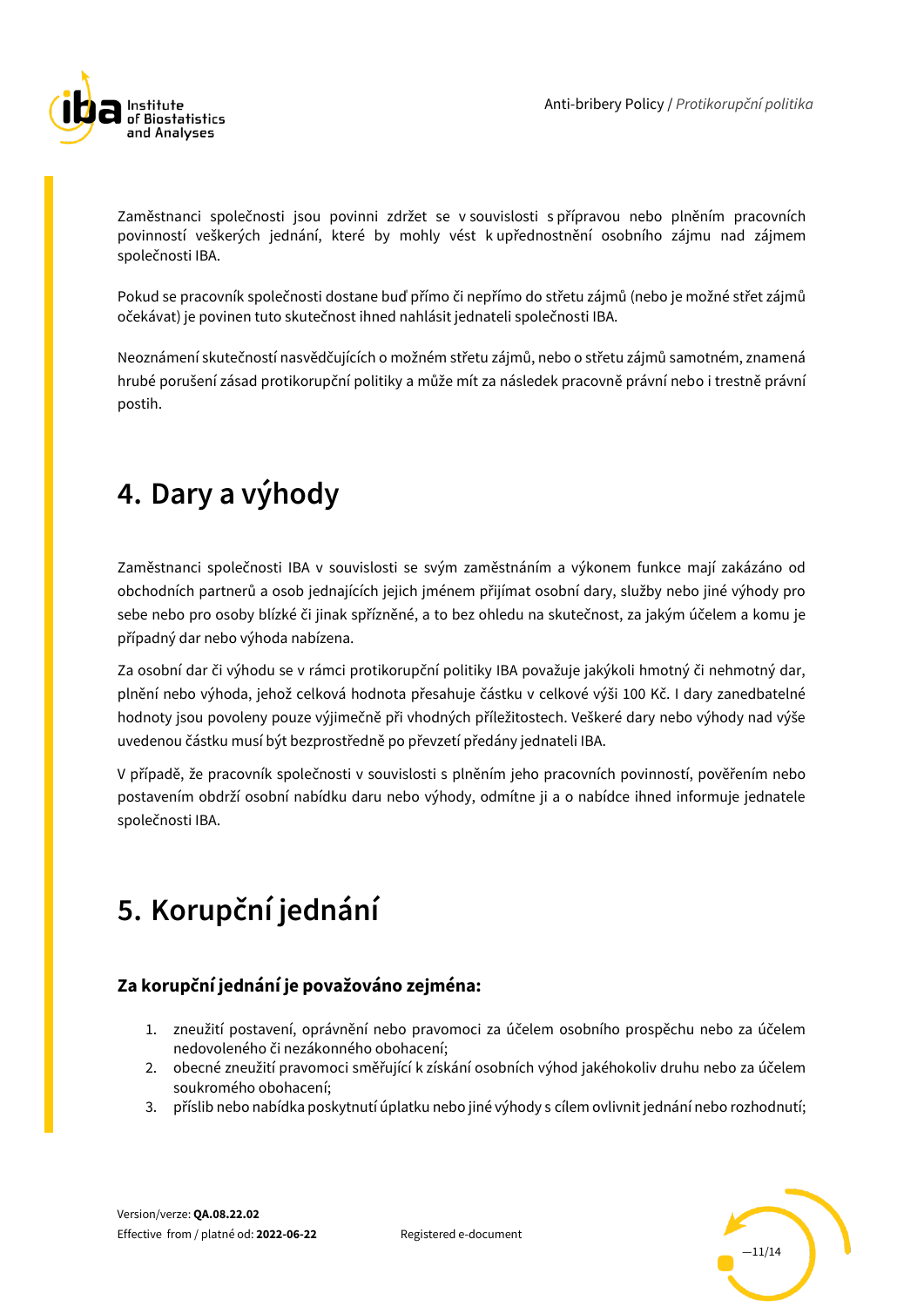

Zaměstnanci společnosti jsou povinni zdržet se v souvislosti s přípravou nebo plněním pracovních povinností veškerých jednání, které by mohly vést k upřednostnění osobního zájmu nad zájmem společnosti IBA.

Pokud se pracovník společnosti dostane buď přímo či nepřímo do střetu zájmů (nebo je možné střet zájmů očekávat) je povinen tuto skutečnost ihned nahlásit jednateli společnosti IBA.

Neoznámení skutečností nasvědčujících o možném střetu zájmů, nebo o střetu zájmů samotném, znamená hrubé porušení zásad protikorupční politiky a může mít za následek pracovně právní nebo i trestně právní postih.

# <span id="page-10-0"></span>**4. Dary a výhody**

Zaměstnanci společnosti IBA v souvislosti se svým zaměstnáním a výkonem funkce mají zakázáno od obchodních partnerů a osob jednajících jejich jménem přijímat osobní dary, služby nebo jiné výhody pro sebe nebo pro osoby blízké či jinak spřízněné, a to bez ohledu na skutečnost, za jakým účelem a komu je případný dar nebo výhoda nabízena.

Za osobní dar či výhodu se v rámci protikorupční politiky IBA považuje jakýkoli hmotný či nehmotný dar, plnění nebo výhoda, jehož celková hodnota přesahuje částku v celkové výši 100 Kč. I dary zanedbatelné hodnoty jsou povoleny pouze výjimečně při vhodných příležitostech. Veškeré dary nebo výhody nad výše uvedenou částku musí být bezprostředně po převzetí předány jednateli IBA.

V případě, že pracovník společnosti v souvislosti s plněním jeho pracovních povinností, pověřením nebo postavením obdrží osobní nabídku daru nebo výhody, odmítne ji a o nabídce ihned informuje jednatele společnosti IBA.

# <span id="page-10-1"></span>**5. Korupční jednání**

#### **Za korupční jednání je považováno zejména:**

- 1. zneužití postavení, oprávnění nebo pravomoci za účelem osobního prospěchu nebo za účelem nedovoleného či nezákonného obohacení;
- 2. obecné zneužití pravomoci směřující k získání osobních výhod jakéhokoliv druhu nebo za účelem soukromého obohacení;
- 3. příslib nebo nabídka poskytnutí úplatku nebo jiné výhody s cílem ovlivnit jednání nebo rozhodnutí;

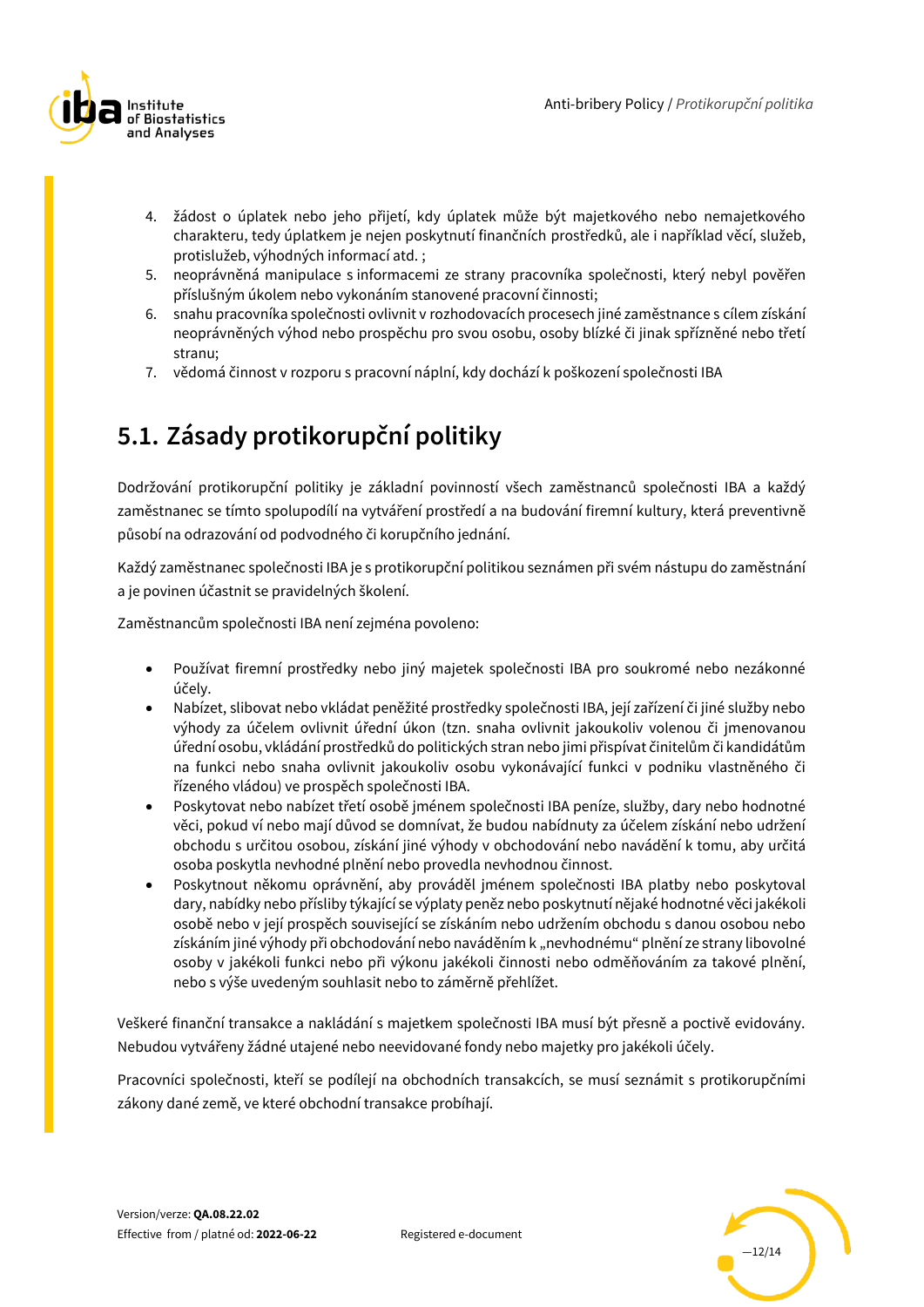

- 4. žádost o úplatek nebo jeho přijetí, kdy úplatek může být majetkového nebo nemajetkového charakteru, tedy úplatkem je nejen poskytnutí finančních prostředků, ale i například věcí, služeb, protislužeb, výhodných informací atd. ;
- 5. neoprávněná manipulace s informacemi ze strany pracovníka společnosti, který nebyl pověřen příslušným úkolem nebo vykonáním stanovené pracovní činnosti;
- 6. snahu pracovníka společnosti ovlivnit v rozhodovacích procesech jiné zaměstnance s cílem získání neoprávněných výhod nebo prospěchu pro svou osobu, osoby blízké či jinak spřízněné nebo třetí stranu;
- 7. vědomá činnost v rozporu s pracovní náplní, kdy dochází k poškození společnosti IBA

### <span id="page-11-0"></span>**5.1. Zásady protikorupční politiky**

Dodržování protikorupční politiky je základní povinností všech zaměstnanců společnosti IBA a každý zaměstnanec se tímto spolupodílí na vytváření prostředí a na budování firemní kultury, která preventivně působí na odrazování od podvodného či korupčního jednání.

Každý zaměstnanec společnosti IBA je s protikorupční politikou seznámen při svém nástupu do zaměstnání a je povinen účastnit se pravidelných školení.

Zaměstnancům společnosti IBA není zejména povoleno:

- Používat firemní prostředky nebo jiný majetek společnosti IBA pro soukromé nebo nezákonné účely.
- Nabízet, slibovat nebo vkládat peněžité prostředky společnosti IBA, její zařízení či jiné služby nebo výhody za účelem ovlivnit úřední úkon (tzn. snaha ovlivnit jakoukoliv volenou či jmenovanou úřední osobu, vkládání prostředků do politických stran nebo jimi přispívat činitelům či kandidátům na funkci nebo snaha ovlivnit jakoukoliv osobu vykonávající funkci v podniku vlastněného či řízeného vládou) ve prospěch společnosti IBA.
- Poskytovat nebo nabízet třetí osobě jménem společnosti IBA peníze, služby, dary nebo hodnotné věci, pokud ví nebo mají důvod se domnívat, že budou nabídnuty za účelem získání nebo udržení obchodu s určitou osobou, získání jiné výhody v obchodování nebo navádění k tomu, aby určitá osoba poskytla nevhodné plnění nebo provedla nevhodnou činnost.
- Poskytnout někomu oprávnění, aby prováděl jménem společnosti IBA platby nebo poskytoval dary, nabídky nebo přísliby týkající se výplaty peněz nebo poskytnutí nějaké hodnotné věci jakékoli osobě nebo v její prospěch související se získáním nebo udržením obchodu s danou osobou nebo získáním jiné výhody při obchodování nebo naváděním k "nevhodnému" plnění ze strany libovolné osoby v jakékoli funkci nebo při výkonu jakékoli činnosti nebo odměňováním za takové plnění, nebo s výše uvedeným souhlasit nebo to záměrně přehlížet.

Veškeré finanční transakce a nakládání s majetkem společnosti IBA musí být přesně a poctivě evidovány. Nebudou vytvářeny žádné utajené nebo neevidované fondy nebo majetky pro jakékoli účely.

Pracovníci společnosti, kteří se podílejí na obchodních transakcích, se musí seznámit s protikorupčními zákony dané země, ve které obchodní transakce probíhají.

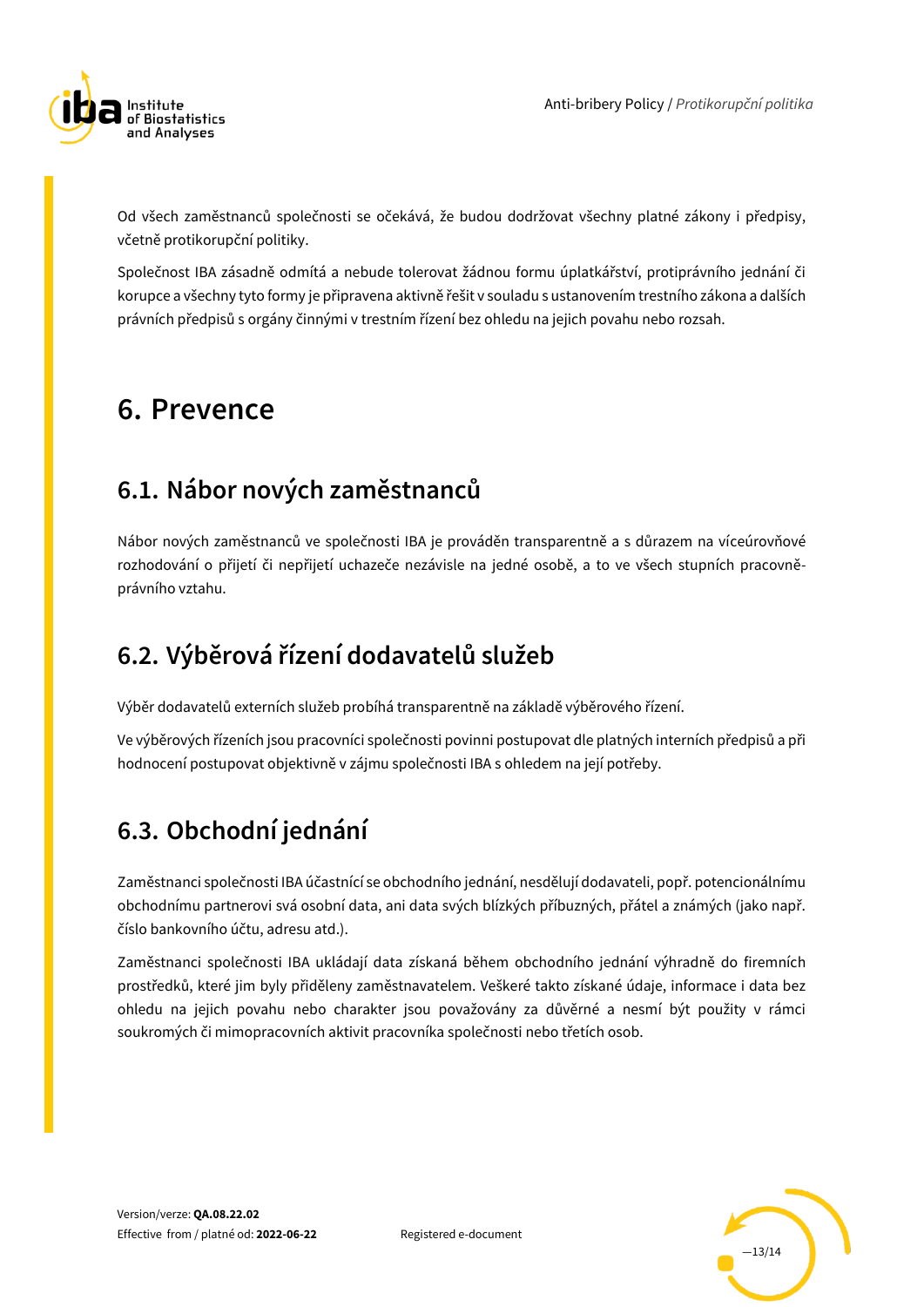

Od všech zaměstnanců společnosti se očekává, že budou dodržovat všechny platné zákony i předpisy, včetně protikorupční politiky.

Společnost IBA zásadně odmítá a nebude tolerovat žádnou formu úplatkářství, protiprávního jednání či korupce a všechny tyto formy je připravena aktivně řešit v souladu s ustanovením trestního zákona a dalších právních předpisů s orgány činnými v trestním řízení bez ohledu na jejich povahu nebo rozsah.

### <span id="page-12-0"></span>**6. Prevence**

### <span id="page-12-1"></span>**6.1. Nábor nových zaměstnanců**

Nábor nových zaměstnanců ve společnosti IBA je prováděn transparentně a s důrazem na víceúrovňové rozhodování o přijetí či nepřijetí uchazeče nezávisle na jedné osobě, a to ve všech stupních pracovněprávního vztahu.

### <span id="page-12-2"></span>**6.2. Výběrová řízení dodavatelů služeb**

Výběr dodavatelů externích služeb probíhá transparentně na základě výběrového řízení.

Ve výběrových řízeních jsou pracovníci společnosti povinni postupovat dle platných interních předpisů a při hodnocení postupovat objektivně v zájmu společnosti IBA s ohledem na její potřeby.

### <span id="page-12-3"></span>**6.3. Obchodní jednání**

Zaměstnanci společnosti IBA účastnící se obchodního jednání, nesdělují dodavateli, popř. potencionálnímu obchodnímu partnerovi svá osobní data, ani data svých blízkých příbuzných, přátel a známých (jako např. číslo bankovního účtu, adresu atd.).

Zaměstnanci společnosti IBA ukládají data získaná během obchodního jednání výhradně do firemních prostředků, které jim byly přiděleny zaměstnavatelem. Veškeré takto získané údaje, informace i data bez ohledu na jejich povahu nebo charakter jsou považovány za důvěrné a nesmí být použity v rámci soukromých či mimopracovních aktivit pracovníka společnosti nebo třetích osob.